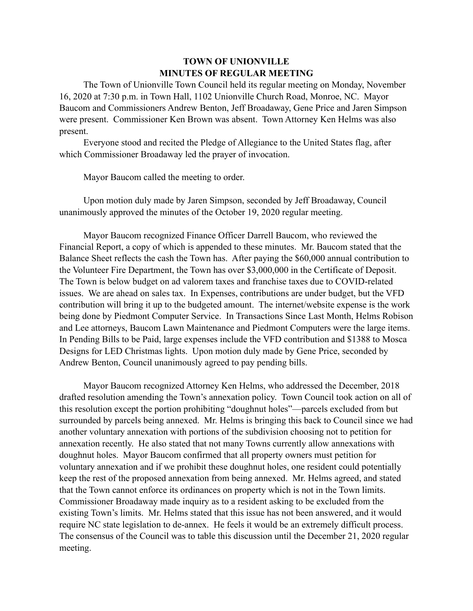## **TOWN OF UNIONVILLE MINUTES OF REGULAR MEETING**

The Town of Unionville Town Council held its regular meeting on Monday, November 16, 2020 at 7:30 p.m. in Town Hall, 1102 Unionville Church Road, Monroe, NC. Mayor Baucom and Commissioners Andrew Benton, Jeff Broadaway, Gene Price and Jaren Simpson were present. Commissioner Ken Brown was absent. Town Attorney Ken Helms was also present.

Everyone stood and recited the Pledge of Allegiance to the United States flag, after which Commissioner Broadaway led the prayer of invocation.

Mayor Baucom called the meeting to order.

Upon motion duly made by Jaren Simpson, seconded by Jeff Broadaway, Council unanimously approved the minutes of the October 19, 2020 regular meeting.

Mayor Baucom recognized Finance Officer Darrell Baucom, who reviewed the Financial Report, a copy of which is appended to these minutes. Mr. Baucom stated that the Balance Sheet reflects the cash the Town has. After paying the \$60,000 annual contribution to the Volunteer Fire Department, the Town has over \$3,000,000 in the Certificate of Deposit. The Town is below budget on ad valorem taxes and franchise taxes due to COVID-related issues. We are ahead on sales tax. In Expenses, contributions are under budget, but the VFD contribution will bring it up to the budgeted amount. The internet/website expense is the work being done by Piedmont Computer Service. In Transactions Since Last Month, Helms Robison and Lee attorneys, Baucom Lawn Maintenance and Piedmont Computers were the large items. In Pending Bills to be Paid, large expenses include the VFD contribution and \$1388 to Mosca Designs for LED Christmas lights. Upon motion duly made by Gene Price, seconded by Andrew Benton, Council unanimously agreed to pay pending bills.

Mayor Baucom recognized Attorney Ken Helms, who addressed the December, 2018 drafted resolution amending the Town's annexation policy. Town Council took action on all of this resolution except the portion prohibiting "doughnut holes"—parcels excluded from but surrounded by parcels being annexed. Mr. Helms is bringing this back to Council since we had another voluntary annexation with portions of the subdivision choosing not to petition for annexation recently. He also stated that not many Towns currently allow annexations with doughnut holes. Mayor Baucom confirmed that all property owners must petition for voluntary annexation and if we prohibit these doughnut holes, one resident could potentially keep the rest of the proposed annexation from being annexed. Mr. Helms agreed, and stated that the Town cannot enforce its ordinances on property which is not in the Town limits. Commissioner Broadaway made inquiry as to a resident asking to be excluded from the existing Town's limits. Mr. Helms stated that this issue has not been answered, and it would require NC state legislation to de-annex. He feels it would be an extremely difficult process. The consensus of the Council was to table this discussion until the December 21, 2020 regular meeting.